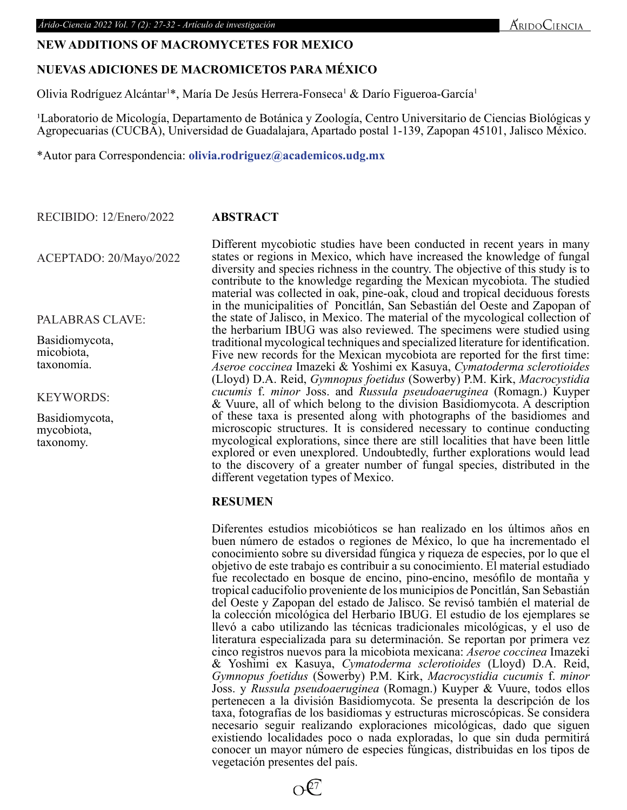# **NEW ADDITIONS OF MACROMYCETES FOR MEXICO**

# **NUEVAS ADICIONES DE MACROMICETOS PARA MÉXICO**

Olivia Rodríguez Alcántar<sup>1\*</sup>, María De Jesús Herrera-Fonseca<sup>1</sup> & Darío Figueroa-García<sup>1</sup>

<sup>1</sup>Laboratorio de Micología, Departamento de Botánica y Zoología, Centro Universitario de Ciencias Biológicas y Agropecuarias (CUCBA), Universidad de Guadalajara, Apartado postal 1-139, Zapopan 45101, Jalisco México.

\*Autor para Correspondencia: **olivia.rodriguez@academicos.udg.mx**

**ABSTRACT** RECIBIDO: 12/Enero/2022

ACEPTADO: 20/Mayo/2022

PALABRAS CLAVE:

Basidiomycota, micobiota, taxonomía.

KEYWORDS:

Basidiomycota, mycobiota, taxonomy.

 $\alpha$ /2022 **ABSTRACT**<br>
Different mycobiotic studies have been conducter profiterent mycobiotic studies have been conducter studies of regions in Mexico, which have increased diversity and species richness in the country. T Different mycobiotic studies have been conducted in recent years in many states or regions in Mexico, which have increased the knowledge of fungal diversity and species richness in the country. The objective of this study is to contribute to the knowledge regarding the Mexican mycobiota. The studied material was collected in oak, pine-oak, cloud and tropical deciduous forests in the municipalities of Poncitlán, San Sebastián del Oeste and Zapopan of the state of Jalisco, in Mexico. The material of the mycological collection of the herbarium IBUG was also reviewed. The specimens were studied using traditional mycological techniques and specialized literature for identification. Five new records for the Mexican mycobiota are reported for the first time: *Aseroe coccinea* Imazeki & Yoshimi ex Kasuya, *Cymatoderma sclerotioides* (Lloyd) D.A. Reid, *Gymnopus foetidus* (Sowerby) P.M. Kirk, *Macrocystidia cucumis* f. *minor* Joss. and *Russula pseudoaeruginea* (Romagn.) Kuyper & Vuure, all of which belong to the division Basidiomycota. A description of these taxa is presented along with photographs of the basidiomes and microscopic structures. It is considered necessary to continue conducting mycological explorations, since there are still localities that have been little explored or even unexplored. Undoubtedly, further explorations would lead to the discovery of a greater number of fungal species, distributed in the different vegetation types of Mexico.

## **RESUMEN**

Diferentes estudios micobióticos se han realizado en los últimos años en buen número de estados o regiones de México, lo que ha incrementado el conocimiento sobre su diversidad fúngica y riqueza de especies, por lo que el objetivo de este trabajo es contribuir a su conocimiento. El material estudiado fue recolectado en bosque de encino, pino-encino, mesófilo de montaña y tropical caducifolio proveniente de los municipios de Poncitlán, San Sebastián del Oeste y Zapopan del estado de Jalisco. Se revisó también el material de la colección micológica del Herbario IBUG. El estudio de los ejemplares se llevó a cabo utilizando las técnicas tradicionales micológicas, y el uso de literatura especializada para su determinación. Se reportan por primera vez cinco registros nuevos para la micobiota mexicana: *Aseroe coccinea* Imazeki & Yoshimi ex Kasuya, *Cymatoderma sclerotioides* (Lloyd) D.A. Reid, *Gymnopus foetidus* (Sowerby) P.M. Kirk, *Macrocystidia cucumis* f. *minor* Joss. y *Russula pseudoaeruginea* (Romagn.) Kuyper & Vuure, todos ellos pertenecen a la división Basidiomycota. Se presenta la descripción de los taxa, fotografías de los basidiomas y estructuras microscópicas. Se considera necesario seguir realizando exploraciones micológicas, dado que siguen existiendo localidades poco o nada exploradas, lo que sin duda permitirá conocer un mayor número de especies fúngicas, distribuidas en los tipos de vegetación presentes del país.

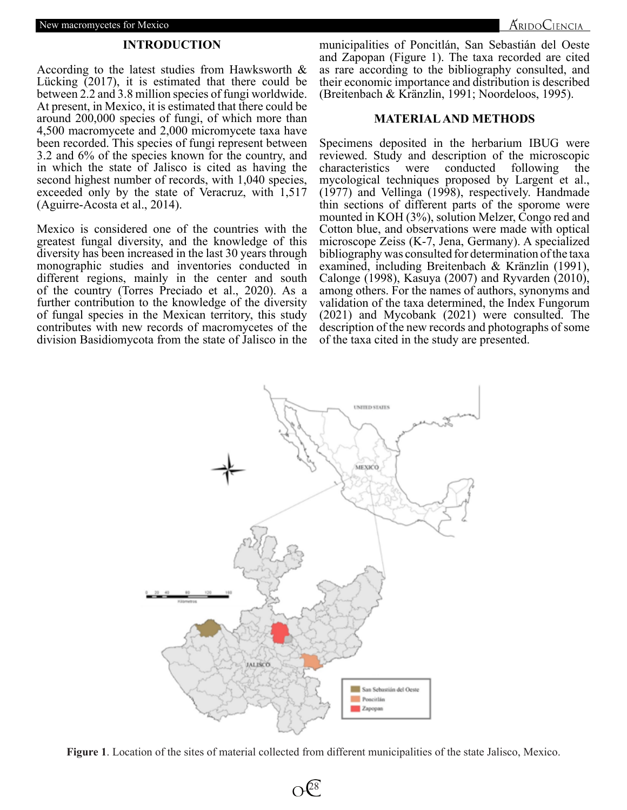#### **INTRODUCTION**

According to the latest studies from Hawksworth & Lücking (2017), it is estimated that there could be between 2.2 and 3.8 million species of fungi worldwide. At present, in Mexico, it is estimated that there could be around 200,000 species of fungi, of which more than 4,500 macromycete and 2,000 micromycete taxa have been recorded. This species of fungi represent between 3.2 and 6% of the species known for the country, and in which the state of Jalisco is cited as having the second highest number of records, with 1,040 species, exceeded only by the state of Veracruz, with 1,517 (Aguirre-Acosta et al., 2014).

Mexico is considered one of the countries with the greatest fungal diversity, and the knowledge of this diversity has been increased in the last 30 years through monographic studies and inventories conducted in different regions, mainly in the center and south of the country (Torres Preciado et al., 2020). As a further contribution to the knowledge of the diversity of fungal species in the Mexican territory, this study contributes with new records of macromycetes of the division Basidiomycota from the state of Jalisco in the

municipalities of Poncitlán, San Sebastián del Oeste and Zapopan (Figure 1). The taxa recorded are cited as rare according to the bibliography consulted, and their economic importance and distribution is described (Breitenbach & Kränzlin, 1991; Noordeloos, 1995).

### **MATERIAL AND METHODS**

Specimens deposited in the herbarium IBUG were reviewed. Study and description of the microscopic characteristics were conducted following the mycological techniques proposed by Largent et al., (1977) and Vellinga (1998), respectively. Handmade thin sections of different parts of the sporome were mounted in KOH (3%), solution Melzer, Congo red and Cotton blue, and observations were made with optical microscope Zeiss (K-7, Jena, Germany). A specialized bibliography was consulted for determination of the taxa examined, including Breitenbach & Kränzlin (1991), Calonge (1998), Kasuya (2007) and Ryvarden (2010), among others. For the names of authors, synonyms and validation of the taxa determined, the Index Fungorum (2021) and Mycobank (2021) were consulted. The description of the new records and photographs of some of the taxa cited in the study are presented.



**Figure 1**. Location of the sites of material collected from different municipalities of the state Jalisco, Mexico.

 $\Omega$ <sup>28</sup>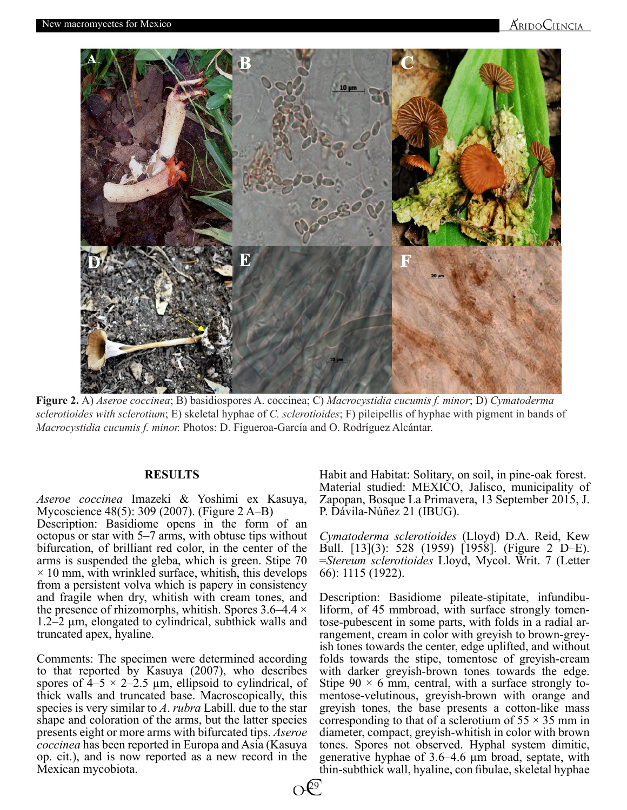

**Figure 2.** A) *Aseroe coccinea*; B) basidiospores A. coccinea; C) *Macrocystidia cucumis f. minor*; D) *Cymatoderma sclerotioides with sclerotium*; E) skeletal hyphae of *C. sclerotioides*; F) pileipellis of hyphae with pigment in bands of *Macrocystidia cucumis f. minor.* Photos: D. Figueroa-García and O. Rodríguez Alcántar.

### **RESULTS**

*Aseroe coccinea* Imazeki & Yoshimi ex Kasuya, Mycoscience 48(5): 309 (2007). (Figure 2 A–B)

Description: Basidiome opens in the form of an octopus or star with 5–7 arms, with obtuse tips without bifurcation, of brilliant red color, in the center of the arms is suspended the gleba, which is green. Stipe 70  $\times$  10 mm, with wrinkled surface, whitish, this develops from a persistent volva which is papery in consistency and fragile when dry, whitish with cream tones, and the presence of rhizomorphs, whitish. Spores  $3.6-4.4 \times$ 1.2–2 µm, elongated to cylindrical, subthick walls and truncated apex, hyaline.

Comments: The specimen were determined according to that reported by Kasuya (2007), who describes spores of  $4-5 \times 2-2.5$  µm, ellipsoid to cylindrical, of thick walls and truncated base. Macroscopically, this species is very similar to *A*. *rubra* Labill. due to the star shape and coloration of the arms, but the latter species presents eight or more arms with bifurcated tips. *Aseroe coccinea* has been reported in Europa and Asia (Kasuya op. cit.), and is now reported as a new record in the Mexican mycobiota.

Habit and Habitat: Solitary, on soil, in pine-oak forest. Material studied: MEXICO, Jalisco, municipality of Zapopan, Bosque La Primavera, 13 September 2015, J. P. Dávila-Núñez 21 (IBUG).

*Cymatoderma sclerotioides* (Lloyd) D.A. Reid, Kew Bull. [13](3): 528 (1959) [1958]. (Figure 2 D–E). =*Stereum sclerotioides* Lloyd, Mycol. Writ. 7 (Letter 66): 1115 (1922).

Description: Basidiome pileate-stipitate, infundibuliform, of 45 mmbroad, with surface strongly tomentose-pubescent in some parts, with folds in a radial arrangement, cream in color with greyish to brown-greyish tones towards the center, edge uplifted, and without folds towards the stipe, tomentose of greyish-cream with darker greyish-brown tones towards the edge. Stipe  $90 \times 6$  mm, central, with a surface strongly tomentose-velutinous, greyish-brown with orange and greyish tones, the base presents a cotton-like mass corresponding to that of a sclerotium of  $55 \times 35$  mm in diameter, compact, greyish-whitish in color with brown tones. Spores not observed. Hyphal system dimitic, generative hyphae of 3.6–4.6 µm broad, septate, with thin-subthick wall, hyaline, con fibulae, skeletal hyphae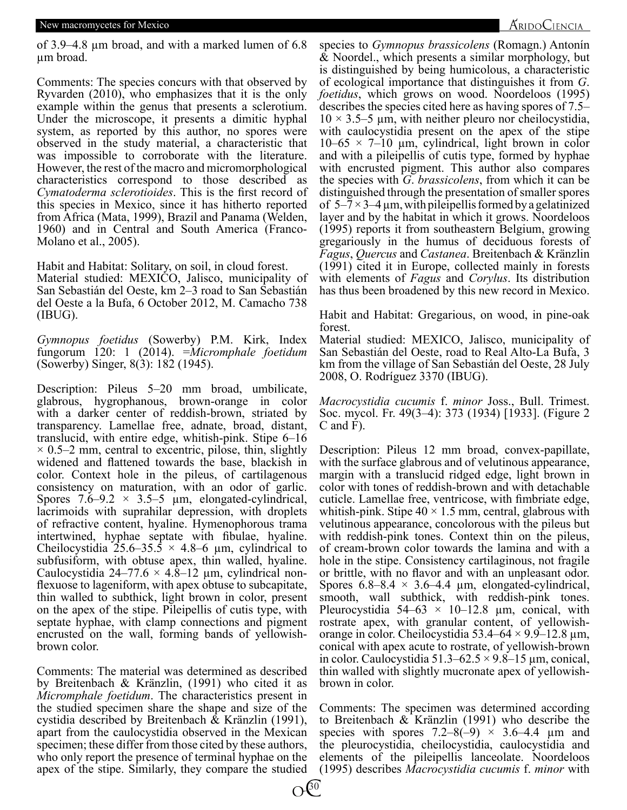#### New macromycetes for Mexico

### AridoCiencia

of 3.9–4.8 µm broad, and with a marked lumen of 6.8 µm broad.

Comments: The species concurs with that observed by Ryvarden (2010), who emphasizes that it is the only example within the genus that presents a sclerotium. Under the microscope, it presents a dimitic hyphal system, as reported by this author, no spores were observed in the study material, a characteristic that was impossible to corroborate with the literature. However, the rest of the macro and micromorphological characteristics correspond to those described as *Cymatoderma sclerotioides*. This is the first record of this species in Mexico, since it has hitherto reported from Africa (Mata, 1999), Brazil and Panama (Welden, 1960) and in Central and South America (Franco-Molano et al., 2005).

Habit and Habitat: Solitary, on soil, in cloud forest. Material studied: MEXICO, Jalisco, municipality of San Sebastián del Oeste, km 2–3 road to San Sebastián del Oeste a la Bufa, 6 October 2012, M. Camacho 738 (IBUG).

*Gymnopus foetidus* (Sowerby) P.M. Kirk, Index fungorum 120: 1 (2014). =*Micromphale foetidum* (Sowerby) Singer, 8(3): 182 (1945).

because the mean tends of the series of the series of the series of the discondinic proportional micromorphological with enerated pigment. This a<br>s. This is the first record of distinguished through the presentance it has Description: Pileus 5–20 mm broad, umbilicate, glabrous, hygrophanous, brown-orange in color with a darker center of reddish-brown, striated by transparency. Lamellae free, adnate, broad, distant, translucid, with entire edge, whitish-pink. Stipe 6–16  $\times$  0.5–2 mm, central to excentric, pilose, thin, slightly widened and flattened towards the base, blackish in color. Context hole in the pileus, of cartilagenous consistency on maturation, with an odor of garlic. Spores  $7.6-9.2 \times 3.5-5 \mu m$ , elongated-cylindrical, lacrimoids with suprahilar depression, with droplets of refractive content, hyaline. Hymenophorous trama intertwined, hyphae septate with fibulae, hyaline. Cheilocystidia 25.6–35.5  $\times$  4.8–6 µm, cylindrical to subfusiform, with obtuse apex, thin walled, hyaline. Caulocystidia 24–77.6  $\times$  4.8–12 µm, cylindrical nonflexuose to lageniform, with apex obtuse to subcapitate, thin walled to subthick, light brown in color, present on the apex of the stipe. Pileipellis of cutis type, with septate hyphae, with clamp connections and pigment encrusted on the wall, forming bands of yellowishbrown color.

Comments: The material was determined as described by Breitenbach & Kränzlin, (1991) who cited it as *Micromphale foetidum*. The characteristics present in the studied specimen share the shape and size of the cystidia described by Breitenbach & Kränzlin (1991), apart from the caulocystidia observed in the Mexican specimen; these differ from those cited by these authors, who only report the presence of terminal hyphae on the apex of the stipe. Similarly, they compare the studied

species to *Gymnopus brassicolens* (Romagn.) Antonín & Noordel., which presents a similar morphology, but is distinguished by being humicolous, a characteristic of ecological importance that distinguishes it from *G*. *foetidus*, which grows on wood. Noordeloos (1995) describes the species cited here as having spores of 7.5–  $10 \times 3.5$ –5 µm, with neither pleuro nor cheilocystidia, with caulocystidia present on the apex of the stipe  $10-65 \times 7-10$  µm, cylindrical, light brown in color and with a pileipellis of cutis type, formed by hyphae with encrusted pigment. This author also compares the species with *G*. *brassicolens*, from which it can be distinguished through the presentation of smaller spores of  $5-7 \times 3-4$  µm, with pileipellis formed by a gelatinized layer and by the habitat in which it grows. Noordeloos (1995) reports it from southeastern Belgium, growing gregariously in the humus of deciduous forests of *Fagus*, *Quercus* and *Castanea*. Breitenbach & Kränzlin (1991) cited it in Europe, collected mainly in forests with elements of *Fagus* and *Corylus*. Its distribution has thus been broadened by this new record in Mexico.

Habit and Habitat: Gregarious, on wood, in pine-oak forest.

Material studied: MEXICO, Jalisco, municipality of San Sebastián del Oeste, road to Real Alto-La Bufa, 3 km from the village of San Sebastián del Oeste, 28 July 2008, O. Rodríguez 3370 (IBUG).

*Macrocystidia cucumis* f. *minor* Joss., Bull. Trimest. Soc. mycol. Fr. 49(3–4): 373 (1934) [1933]. (Figure 2 C and F).

Description: Pileus 12 mm broad, convex-papillate, with the surface glabrous and of velutinous appearance, margin with a translucid ridged edge, light brown in color with tones of reddish-brown and with detachable cuticle. Lamellae free, ventricose, with fimbriate edge, whitish-pink. Stipe  $40 \times 1.5$  mm, central, glabrous with velutinous appearance, concolorous with the pileus but with reddish-pink tones. Context thin on the pileus, of cream-brown color towards the lamina and with a hole in the stipe. Consistency cartilaginous, not fragile or brittle, with no flavor and with an unpleasant odor. Spores  $6.8-8.4 \times 3.6-4.4 \mu m$ , elongated-cylindrical, smooth, wall subthick, with reddish-pink tones. Pleurocystidia 54–63  $\times$  10–12.8  $\mu$ m, conical, with rostrate apex, with granular content, of yellowishorange in color. Cheilocystidia 53.4–64  $\times$  9.9–12.8  $\mu$ m, conical with apex acute to rostrate, of yellowish-brown in color. Caulocystidia 51.3–62.5  $\times$  9.8–15 µm, conical, thin walled with slightly mucronate apex of yellowishbrown in color.

Comments: The specimen was determined according to Breitenbach & Kränzlin (1991) who describe the species with spores  $7.2-8(-9) \times 3.6-4.4 \mu m$  and the pleurocystidia, cheilocystidia, caulocystidia and elements of the pileipellis lanceolate. Noordeloos (1995) describes *Macrocystidia cucumis* f. *minor* with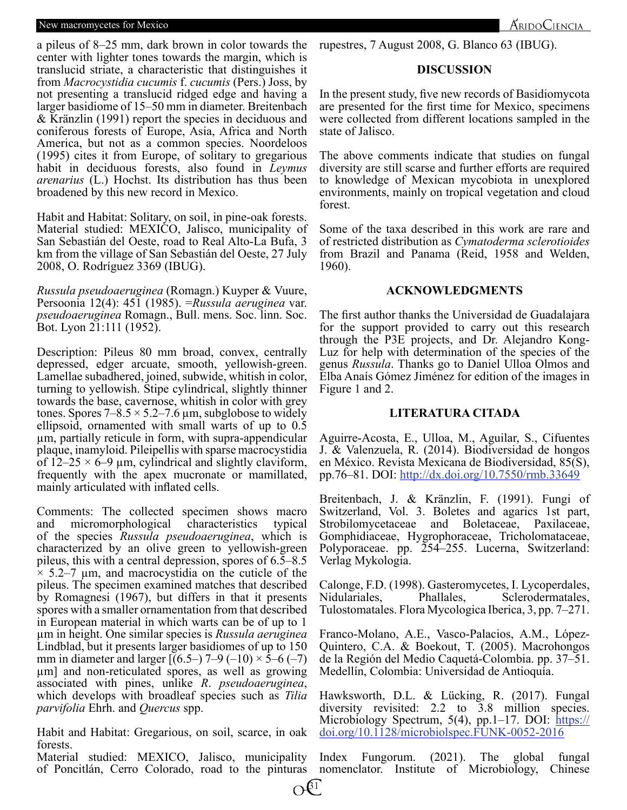#### New macromycetes for Mexico

a pileus of 8–25 mm, dark brown in color towards the center with lighter tones towards the margin, which is translucid striate, a characteristic that distinguishes it from *Macrocystidia cucumis* f. *cucumis* (Pers.) Joss, by not presenting a translucid ridged edge and having a larger basidiome of 15–50 mm in diameter. Breitenbach & Kränzlin (1991) report the species in deciduous and coniferous forests of Europe, Asia, Africa and North America, but not as a common species. Noordeloos (1995) cites it from Europe, of solitary to gregarious habit in deciduous forests, also found in *Leymus arenarius* (L.) Hochst. Its distribution has thus been broadened by this new record in Mexico.

Habit and Habitat: Solitary, on soil, in pine-oak forests. Material studied: MEXICO, Jalisco, municipality of San Sebastián del Oeste, road to Real Alto-La Bufa, 3 km from the village of San Sebastián del Oeste, 27 July 2008, O. Rodríguez 3369 (IBUG).

*Russula pseudoaeruginea* (Romagn.) Kuyper & Vuure, Persoonia 12(4): 451 (1985). =*Russula aeruginea* var. *pseudoaeruginea* Romagn., Bull. mens. Soc. linn. Soc. Bot. Lyon 21:111 (1952).

Forests, also found in *Leymus* anversity are still scarces and<br>the distribution has thus been to knowledge of Mexican<br>w record in Mexico. environments, maily on tro<br>litary, on soil, in pine-oak forests.<br>EXICO, Jalisco, mu Description: Pileus 80 mm broad, convex, centrally depressed, edger arcuate, smooth, yellowish-green. Lamellae subadhered, joined, subwide, whitish in color, turning to yellowish. Stipe cylindrical, slightly thinner towards the base, cavernose, whitish in color with grey tones. Spores  $7-8.5 \times 5.2-7.6 \mu m$ , subglobose to widely ellipsoid, ornamented with small warts of up to 0.5 µm, partially reticule in form, with supra-appendicular plaque, inamyloid. Pileipellis with sparse macrocystidia of  $12-25 \times 6-9$  µm, cylindrical and slightly claviform, frequently with the apex mucronate or mamillated, mainly articulated with inflated cells.

Comments: The collected specimen shows macro and micromorphological characteristics typical of the species *Russula pseudoaeruginea*, which is characterized by an olive green to yellowish-green pileus, this with a central depression, spores of 6.5–8.5  $\times$  5.2–7 µm, and macrocystidia on the cuticle of the pileus. The specimen examined matches that described by Romagnesi (1967), but differs in that it presents spores with a smaller ornamentation from that described in European material in which warts can be of up to 1 µm in height. One similar species is *Russula aeruginea* Lindblad, but it presents larger basidiomes of up to 150 mm in diameter and larger  $[(6.5-) 7-9 (-10) \times 5-6 (-7)$ µm] and non-reticulated spores, as well as growing associated with pines, unlike *R*. *pseudoaeruginea*, which develops with broadleaf species such as *Tilia parvifolia* Ehrh. and *Quercus* spp.

Habit and Habitat: Gregarious, on soil, scarce, in oak forests.

Material studied: MEXICO, Jalisco, municipality of Poncitlán, Cerro Colorado, road to the pinturas rupestres, 7 August 2008, G. Blanco 63 (IBUG).

## **DISCUSSION**

In the present study, five new records of Basidiomycota are presented for the first time for Mexico, specimens were collected from different locations sampled in the state of Jalisco.

The above comments indicate that studies on fungal diversity are still scarse and further efforts are required to knowledge of Mexican mycobiota in unexplored environments, mainly on tropical vegetation and cloud forest.

Some of the taxa described in this work are rare and of restricted distribution as *Cymatoderma sclerotioides* from Brazil and Panama (Reid, 1958 and Welden, 1960).

## **ACKNOWLEDGMENTS**

The first author thanks the Universidad de Guadalajara for the support provided to carry out this research through the P3E projects, and Dr. Alejandro Kong-Luz for help with determination of the species of the genus *Russula*. Thanks go to Daniel Ulloa Olmos and Elba Anaís Gómez Jiménez for edition of the images in Figure 1 and 2.

## **LITERATURA CITADA**

Aguirre-Acosta, E., Ulloa, M., Aguilar, S., Cifuentes J. & Valenzuela, R. (2014). Biodiversidad de hongos en México. Revista Mexicana de Biodiversidad, 85(S), pp.76–81. DOI: http://dx.doi.org/10.7550/rmb.33649

Breitenbach, J. & Kränzlin, F. (1991). Fungi of Switzerland, Vol. 3. Boletes and agarics 1st part, Strobilomycetaceae and Boletaceae, Paxilaceae, Gomphidiaceae, Hygrophoraceae, Tricholomataceae, Polyporaceae. pp. 254–255. Lucerna, Switzerland: Verlag Mykologia.

Calonge, F.D. (1998). Gasteromycetes, I. Lycoperdales, Nidulariales, Phallales, Sclerodermatales, Tulostomatales. Flora Mycologica Iberica, 3, pp. 7–271.

Franco-Molano, A.E., Vasco-Palacios, A.M., López-Quintero, C.A. & Boekout, T. (2005). Macrohongos de la Región del Medio Caquetá-Colombia. pp. 37–51. Medellín, Colombia: Universidad de Antioquía.

Hawksworth, D.L. & Lücking, R. (2017). Fungal diversity revisited: 2.2 to 3.8 million species. Microbiology Spectrum, 5(4), pp.1–17. DOI: https:// doi.org/10.1128/microbiolspec.FUNK-0052-2016

Index Fungorum. (2021). The global fungal nomenclator. Institute of Microbiology, Chinese